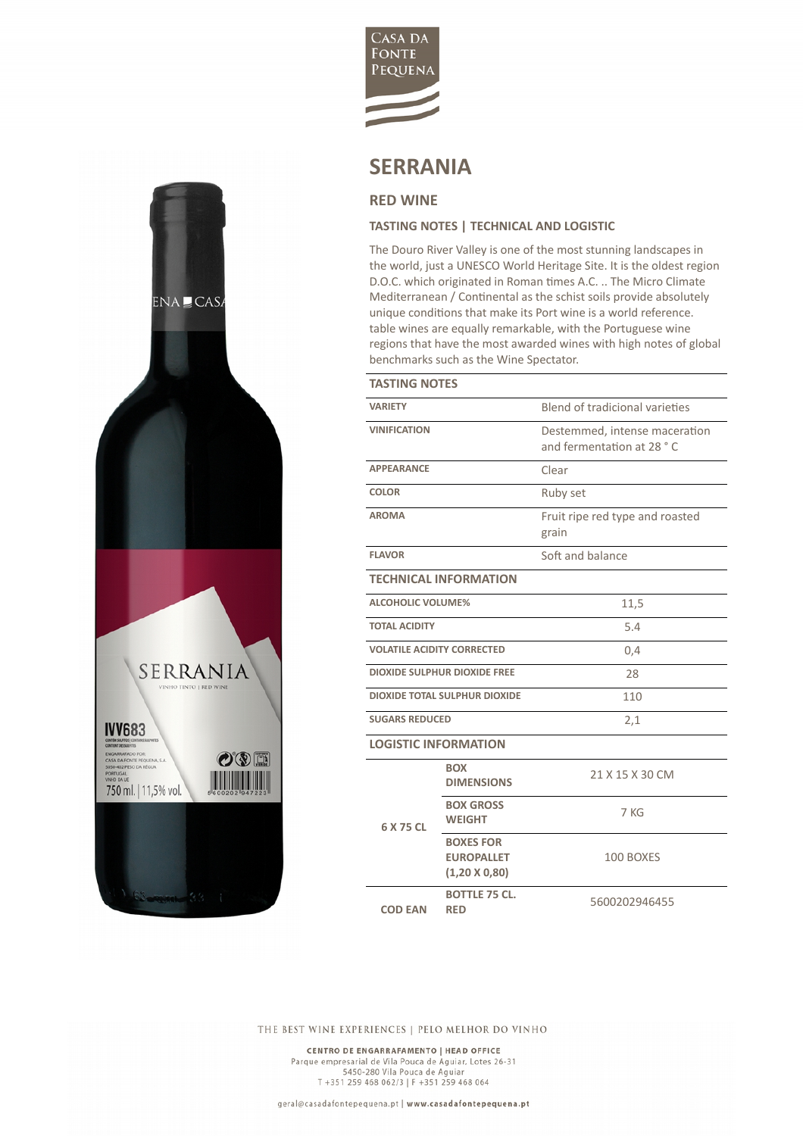

## **SERRANIA**

## **RED WINE**

 $ENA \subseteq CAS$ 

SERRANIA

 $O$  ( $\sqrt{2}$  ) **THEFT** 

**IVV683** 

**ENGARRAFADO POR:<br>CASA DA FONTE PEQUEN:<br>5050-402 PESO DA RÉGUE** 

750 ml. | 11,5% vol.

## **TASTING NOTES | TECHNICAL AND LOGISTIC**

The Douro River Valley is one of the most stunning landscapes in the world, just a UNESCO World Heritage Site. It is the oldest region D.O.C. which originated in Roman times A.C. .. The Micro Climate Mediterranean / Continental as the schist soils provide absolutely unique conditions that make its Port wine is a world reference. table wines are equally remarkable, with the Portuguese wine regions that have the most awarded wines with high notes of global benchmarks such as the Wine Spectator.

| <b>TASTING NOTES</b>                 |                                                               |                                                            |  |
|--------------------------------------|---------------------------------------------------------------|------------------------------------------------------------|--|
| <b>VARIETY</b>                       |                                                               | Blend of tradicional varieties                             |  |
| <b>VINIFICATION</b>                  |                                                               | Destemmed, intense maceration<br>and fermentation at 28 °C |  |
| <b>APPFARANCF</b>                    |                                                               | Clear                                                      |  |
| <b>COLOR</b>                         |                                                               | Ruby set                                                   |  |
| <b>AROMA</b>                         |                                                               | Fruit ripe red type and roasted<br>grain                   |  |
| <b>FLAVOR</b>                        |                                                               | Soft and balance                                           |  |
| <b>TECHNICAL INFORMATION</b>         |                                                               |                                                            |  |
| <b>ALCOHOLIC VOLUME%</b>             |                                                               | 11,5                                                       |  |
| <b>TOTAL ACIDITY</b>                 |                                                               | 5.4                                                        |  |
| <b>VOLATILE ACIDITY CORRECTED</b>    |                                                               | 0,4                                                        |  |
| <b>DIOXIDE SULPHUR DIOXIDE FREE</b>  |                                                               | 28                                                         |  |
| <b>DIOXIDE TOTAL SULPHUR DIOXIDE</b> |                                                               | 110                                                        |  |
| <b>SUGARS REDUCED</b>                |                                                               | 2,1                                                        |  |
| <b>LOGISTIC INFORMATION</b>          |                                                               |                                                            |  |
| 6 X 75 CL                            | <b>BOX</b><br><b>DIMENSIONS</b>                               | 21 X 15 X 30 CM                                            |  |
|                                      | <b>BOX GROSS</b><br><b>WEIGHT</b>                             | 7 KG                                                       |  |
|                                      | <b>BOXES FOR</b><br><b>EUROPALLET</b><br>$(1,20 \times 0,80)$ | 100 BOXES                                                  |  |
| <b>COD EAN</b>                       | <b>BOTTLE 75 CL.</b><br><b>RED</b>                            | 5600202946455                                              |  |

THE BEST WINE EXPERIENCES | PELO MELHOR DO VINHO

CENTRO DE ENGARRAFAMENTO | HEAD OFFICE Parque empresarial de Vila Pouca de Aguiar, Lotes 26-31<br>5450-280 Vila Pouca de Aguiar, Lotes 26-31 T +351 259 468 062/3 | F +351 259 468 064